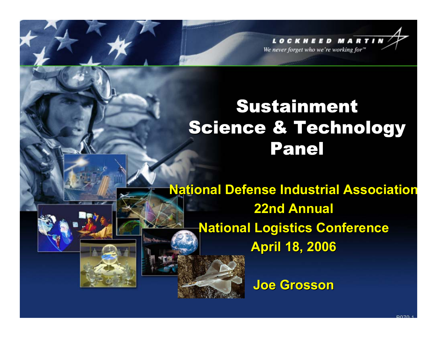**LOCKHEED MARTI** We never forget who we're working for"

# Sustainment **Science & Technology** Panel

**National Defense Industrial Association 22nd Annual 22nd Annual National Logistics Conference April 18, 2006 April 18, 2006**

**Joe Grosson Joe Grosson**

**DO70**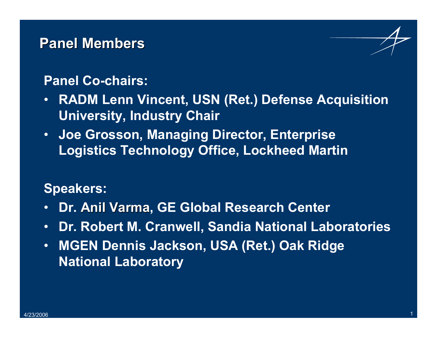## **Panel Members Panel Members**

### **Panel Co-chairs:**

- $\bullet$  **RADM Lenn Vincent, USN (Ret.) Defense Acquisition University, Industry Chair**
- **Joe Grosson, Managing Director, Enterprise Logistics Technology Office, Lockheed Martin**

## **Speakers:**

- •**Dr. Anil Varma, GE Global Research Center**
- $\bullet$ **Dr. Robert M. Cranwell, Sandia National Laboratories**
- $\bullet$  **MGEN Dennis Jackson, USA (Ret.) Oak Ridge National Laboratory**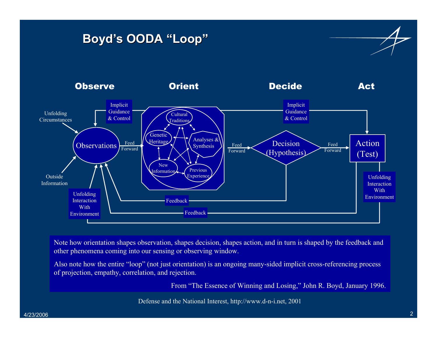### **Boyd's OODA "Loop" Boyd's OODA "Loop"**



Note how orientation shapes observation, shapes decision, shapes action, and in turn is shaped by the feedback and other phenomena coming into our sensing or observing window. other phenomena coming into our sensing or observing window.

Also note how the entire "loop" (not just orientation) is an ongoing many-sided implicit cross-referencing process of projection, empathy, correlation, and rejection. of projection, empathy, correlation, and rejection.

From "The Essence of Winning and Losing," John R. Boyd, January 1996. From "The Essence of Winning and Losing," John R. Boyd, January 1996.

Defense and the National Interest, http://www.d-n-i.net, 2001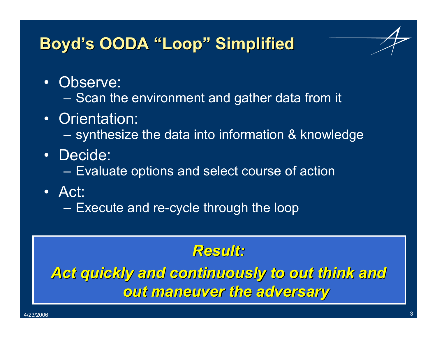## **Boyd's OODA "Loop" Simplified Boyd's OODA "Loop" Simplified**



- Observe:
	- Scan the environment and gather data from it
- Orientation:
	- –synthesize the data into information & knowledge
- Decide:
	- Evaluate options and select course of action
- Act:
	- Execute and re-cycle through the loop

## *Result: Result:*

*Act quickly and continuously to out think and Act quickly and continuously to out think and out maneuver the adversary out maneuver the adversary*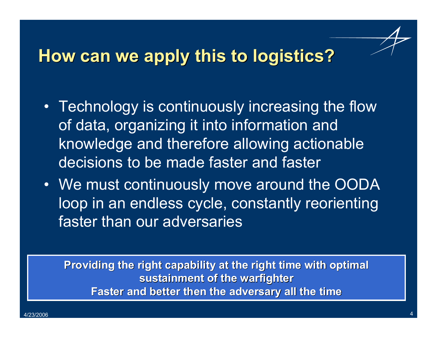## **How can we apply this to logistics? How can we apply this to logistics?**

- Technology is continuously increasing the flow of data, organizing it into information and knowledge and therefore allowing actionable decisions to be made faster and faster
- We must continuously move around the OODA loop in an endless cycle, constantly reorienting faster than our adversaries

**Providing the right capability at the right time with optimal sustainment of the warfighter sustainment of the warfighter Faster and better then the adversary all the time Faster and better then the adversary all the time**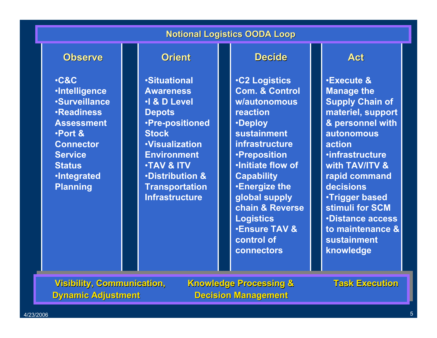#### **Notional Logistics OODA Loop**

#### **Observe Observe**

•**C&C**•**Intelligence** •**Surveillance** •**Readiness Assessment**•**Port & Connector Service Status**•**Integrated Planning**

#### **Orient**

•**Situational Awareness**•**I & D Level Depots** •**Pre-positioned Stock**•**Visualization Environment**•**TAV & ITV**•**Distribution & Transportation Infrastructure**

#### **Decide**

•**C2 Logistics Com. & Control w/autonomous reaction**•**Deploy sustainment infrastructure**•**Preposition** •**Initiate flow of Capability** •**Energize the global supply chain & Reverse Logistics** •**Ensure TAV & control of connectors**

#### **Act**

•**Execute & Manage the Supply Chain of materiel, support & personnel with autonomous action**•**infrastructure with TAV/ITV & rapid command decisions**•**Trigger based stimuli for SCM**•**Distance access to maintenance & sustainment knowledge**

**Dynamic Adjustment Decision Management Visibility, Communication,** 

**Knowledge Processing & Task Execution**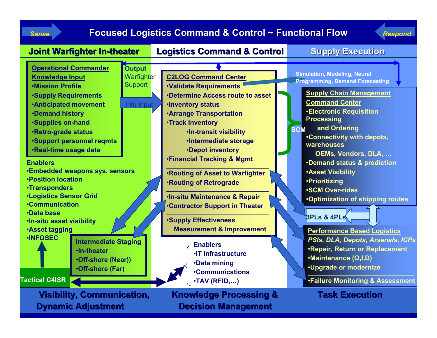*Sense*

#### **Focused Logistics Command & Control ~ Functional Flow** *Respond*



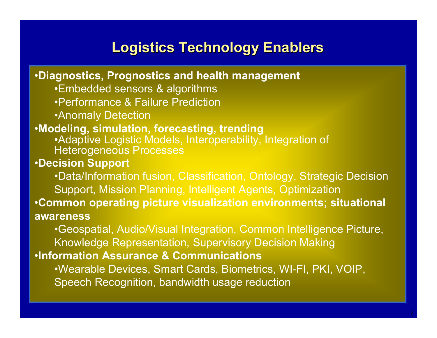## **Logistics Technology Enablers**

•**Diagnostics, Prognostics and health management** •Embedded sensors & algorithms •Performance & Failure Prediction •Anomaly Detection •**Modeling, simulation, forecasting, trending** •Adaptive Logistic Models, Interoperability, Integration of Heterogeneous Processes •**Decision Support** •Data/Information fusion, Classification, Ontology, Strategic Decision Support, Mission Planning, Intelligent Agents, Optimization •**Common operating picture visualization environments; situational awareness** •Geospatial, Audio/Visual Integration, Common Intelligence Picture, Knowledge Representation, Supervisory Decision Making •**Information Assurance & Communications** •Wearable Devices, Smart Cards, Biometrics, WI-FI, PKI, VOIP, Speech Recognition, bandwidth usage reduction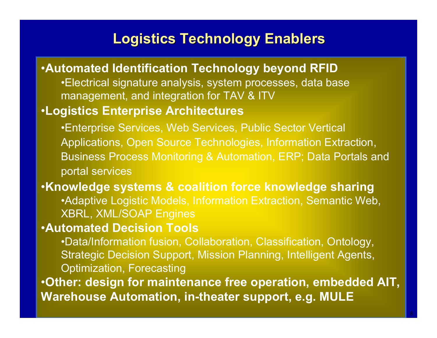## **Logistics Technology Enablers Logistics Technology Enablers**

### •**Automated Identification Technology beyond RFID** •Electrical signature analysis, system processes, data base management, and integration for TAV & ITV •**Logistics Enterprise Architectures** •Enterprise Services, Web Services, Public Sector Vertical Applications, Open Source Technologies, Information Extraction, Business Process Monitoring & Automation, ERP; Data Portals and portal services •**Knowledge systems & coalition force knowledge sharing** •Adaptive Logistic Models, Information Extraction, Semantic Web, XBRL, XML/SOAP Engines •**Automated Decision Tools** •Data/Information fusion, Collaboration, Classification, Ontology, Strategic Decision Support, Mission Planning, Intelligent Agents, Optimization, Forecasting •**Other: design for maintenance free operation, embedded AIT, Warehouse Automation, in-theater support, e.g. MULE**